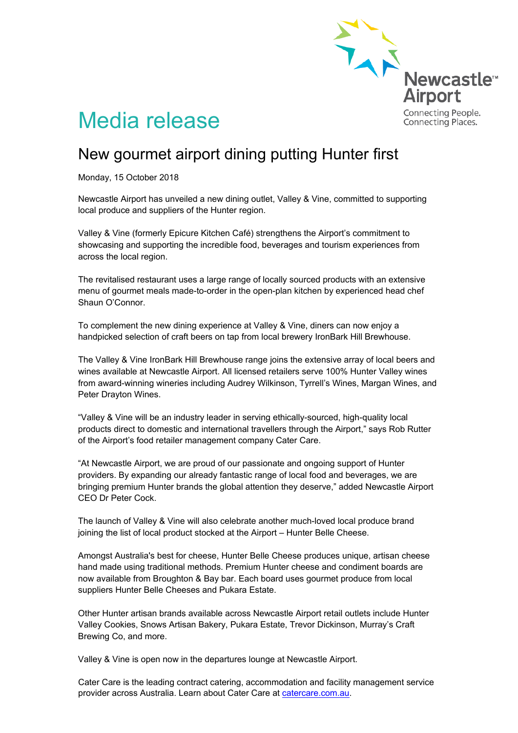

## Media release

## New gourmet airport dining putting Hunter first

Monday, 15 October 2018

Newcastle Airport has unveiled a new dining outlet, Valley & Vine, committed to supporting local produce and suppliers of the Hunter region.

Valley & Vine (formerly Epicure Kitchen Café) strengthens the Airport's commitment to showcasing and supporting the incredible food, beverages and tourism experiences from across the local region.

The revitalised restaurant uses a large range of locally sourced products with an extensive menu of gourmet meals made-to-order in the open-plan kitchen by experienced head chef Shaun O'Connor.

To complement the new dining experience at Valley & Vine, diners can now enjoy a handpicked selection of craft beers on tap from local brewery IronBark Hill Brewhouse.

The Valley & Vine IronBark Hill Brewhouse range joins the extensive array of local beers and wines available at Newcastle Airport. All licensed retailers serve 100% Hunter Valley wines from award-winning wineries including Audrey Wilkinson, Tyrrell's Wines, Margan Wines, and Peter Drayton Wines.

"Valley & Vine will be an industry leader in serving ethically-sourced, high-quality local products direct to domestic and international travellers through the Airport," says Rob Rutter of the Airport's food retailer management company Cater Care.

"At Newcastle Airport, we are proud of our passionate and ongoing support of Hunter providers. By expanding our already fantastic range of local food and beverages, we are bringing premium Hunter brands the global attention they deserve," added Newcastle Airport CEO Dr Peter Cock.

The launch of Valley & Vine will also celebrate another much-loved local produce brand joining the list of local product stocked at the Airport – Hunter Belle Cheese.

Amongst Australia's best for cheese, Hunter Belle Cheese produces unique, artisan cheese hand made using traditional methods. Premium Hunter cheese and condiment boards are now available from Broughton & Bay bar. Each board uses gourmet produce from local suppliers Hunter Belle Cheeses and Pukara Estate.

Other Hunter artisan brands available across Newcastle Airport retail outlets include Hunter Valley Cookies, Snows Artisan Bakery, Pukara Estate, Trevor Dickinson, Murray's Craft Brewing Co, and more.

Valley & Vine is open now in the departures lounge at Newcastle Airport.

Cater Care is the leading contract catering, accommodation and facility management service provider across Australia. Learn about Cater Care at catercare.com.au.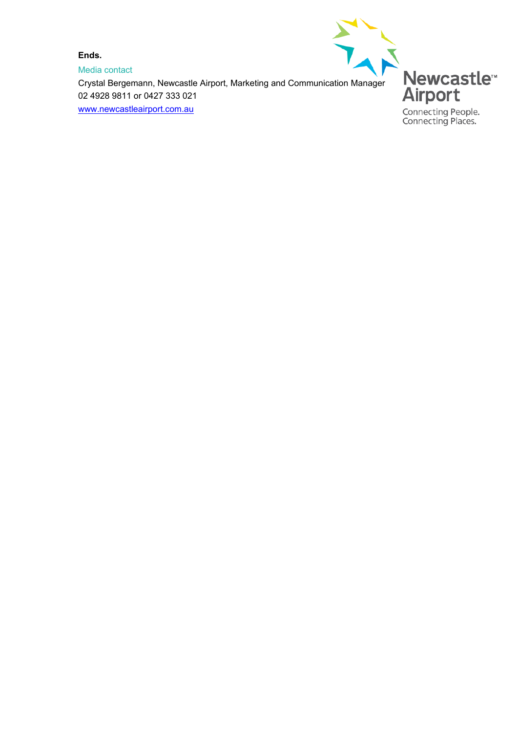**Ends.**

Media contact Ends.<br>
Media contact<br>
Crystal Bergemann, Newcastle Airport, Marketing and Communication Manager 02 4928 9811 or 0427 333 021 [www.newcastleairport.com.au](http://www.newcastleairport.com.au/)



Connecting People.<br>Connecting Places.